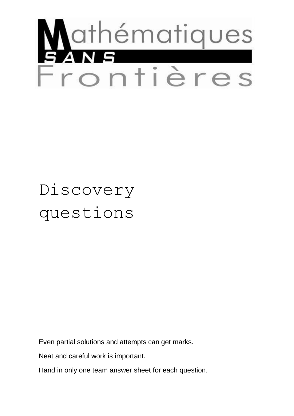

# Discovery questions

Even partial solutions and attempts can get marks.

Neat and careful work is important.

Hand in only one team answer sheet for each question.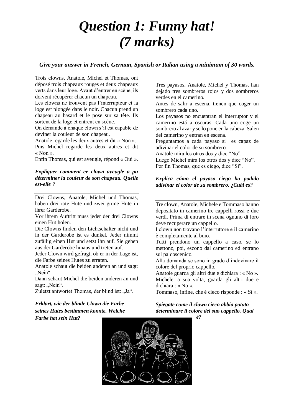#### *Question 1: Funny hat! (7 marks)*

*Give your answer in French, German, Spanish or Italian using a minimum of 30 words.*

Trois clowns, Anatole, Michel et Thomas, ont déposé trois chapeaux rouges et deux chapeaux verts dans leur loge. Avant d'entrer en scène, ils doivent récupérer chacun un chapeau.

Les clowns ne trouvent pas l'interrupteur et la loge est plongée dans le noir. Chacun prend un chapeau au hasard et le pose sur sa tête. Ils sortent de la loge et entrent en scène.

On demande à chaque clown s'il est capable de deviner la couleur de son chapeau.

Anatole regarde les deux autres et dit « Non ». Puis Michel regarde les deux autres et dit « Non ».

Enfin Thomas, qui est aveugle, répond « Oui ».

#### *Expliquer comment ce clown aveugle a pu déterminer la couleur de son chapeau. Quelle est-elle ?*

Drei Clowns, Anatole, Michel und Thomas, haben drei rote Hüte und zwei grüne Hüte in ihrer Garderobe.

Vor ihrem Auftritt muss jeder der drei Clowns einen Hut holen.

Die Clowns finden den Lichtschalter nicht und in der Garderobe ist es dunkel. Jeder nimmt zufällig einen Hut und setzt ihn auf. Sie gehen aus der Garderobe hinaus und treten auf.

Jeder Clown wird gefragt, ob er in der Lage ist, die Farbe seines Hutes zu erraten.

Anatole schaut die beiden anderen an und sagt: "Nein".

Dann schaut Michel die beiden anderen an und sagt: "Nein".

Zuletzt antwortet Thomas, der blind ist: "Ja".

Tres payasos, Anatole, Michel y Thomas, han dejado tres sombreros rojos y dos sombreros verdes en el camerino.

Antes de salir a escena, tienen que coger un sombrero cada uno.

Los payasos no encuentran el interruptor y el camerino está a oscuras. Cada uno coge un sombrero al azar y se lo pone en la cabeza. Salen del camerino y entran en escena.

Preguntamos a cada payaso si es capaz de adivinar el color de su sombrero.

Anatole mira los otros dos y dice "No".

Luego Michel mira los otros dos y dice "No".

Por fin Thomas, que es ciego, dice "Si".

#### *Explica cómo el payaso ciego ha podido adivinar el color de su sombrero. ¿Cuál es?*

Tre clown, Anatole, Michele e Tommaso hanno depositato in camerino tre cappelli rossi e due verdi. Prima di entrare in scena ognuno di loro deve recuperare un cappello.

I clown non trovano l'interruttore e il camerino è completamente al buio.

Tutti prendono un cappello a caso, se lo mettono, poi, escono dal camerino ed entrano sul palcoscenico.

Alla domanda se sono in grado d'indovinare il colore del proprio cappello,

Anatole guarda gli altri due e dichiara : « No ». Michele, a sua volta, guarda gli altri due e dichiara : « No ».

Tommaso, infine, che è cieco risponde : « Sì ».

#### *Erklärt, wie der blinde Clown die Farbe seines Hutes bestimmen konnte. Welche*

*Farbe hat sein Hut?*



*Spiegate come il clown cieco abbia potuto determinare il colore del suo cappello. Qual* 

*è?*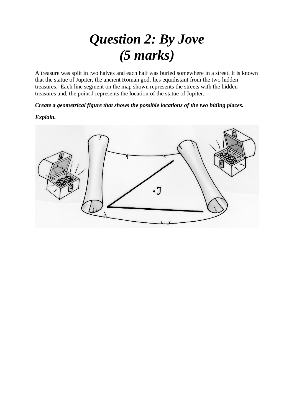#### *Question 2: By Jove (5 marks)*

A treasure was split in two halves and each half was buried somewhere in a street. It is known that the statue of Jupiter, the ancient Roman god, lies equidistant from the two hidden treasures. Each line segment on the map shown represents the streets with the hidden treasures and, the point J represents the location of the statue of Jupiter.

*Create a geometrical figure that shows the possible locations of the two hiding places.*

*Explain.*

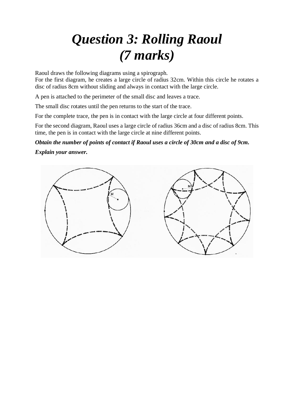## *Question 3: Rolling Raoul (7 marks)*

Raoul draws the following diagrams using a spirograph.

For the first diagram, he creates a large circle of radius 32cm. Within this circle he rotates a disc of radius 8cm without sliding and always in contact with the large circle.

A pen is attached to the perimeter of the small disc and leaves a trace.

The small disc rotates until the pen returns to the start of the trace.

For the complete trace, the pen is in contact with the large circle at four different points.

For the second diagram, Raoul uses a large circle of radius 36cm and a disc of radius 8cm. This time, the pen is in contact with the large circle at nine different points.

*Obtain the number of points of contact if Raoul uses a circle of 30cm and a disc of 9cm.*

*Explain your answer.* 

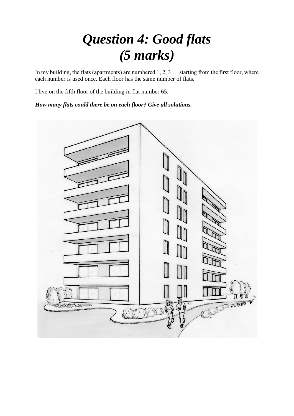### *Question 4: Good flats (5 marks)*

In my building, the flats (apartments) are numbered 1, 2, 3 … starting from the first floor, where each number is used once. Each floor has the same number of flats.

I live on the fifth floor of the building in flat number 65.

*How many flats could there be on each floor? Give all solutions.*

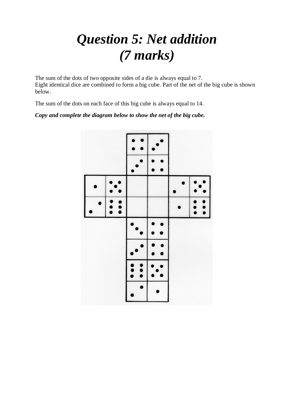#### *Question 5: Net addition (7 marks)*

The sum of the dots of two opposite sides of a die is always equal to 7. Eight identical dice are combined to form a big cube. Part of the net of the big cube is shown below.

The sum of the dots on each face of this big cube is always equal to 14.

#### *Copy and complete the diagram below to show the net of the big cube.*

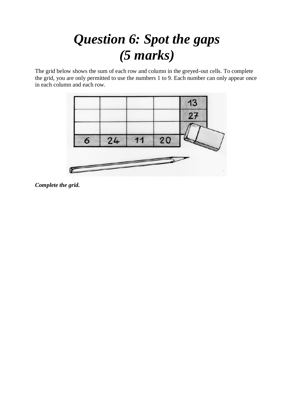#### *Question 6: Spot the gaps (5 marks)*

The grid below shows the sum of each row and column in the greyed-out cells. To complete the grid, you are only permitted to use the numbers 1 to 9. Each number can only appear once in each column and each row.



*Complete the grid.*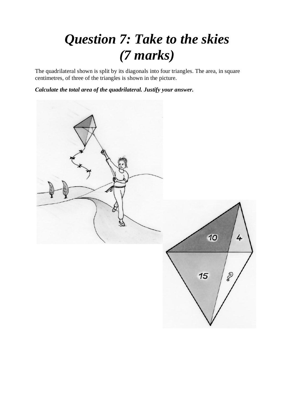### *Question 7: Take to the skies (7 marks)*

The quadrilateral shown is split by its diagonals into four triangles. The area, in square centimetres, of three of the triangles is shown in the picture.

*Calculate the total area of the quadrilateral. Justify your answer.* 

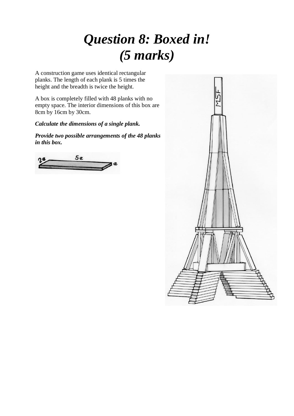### *Question 8: Boxed in! (5 marks)*

A construction game uses identical rectangular planks. The length of each plank is 5 times the height and the breadth is twice the height.

A box is completely filled with 48 planks with no empty space. The interior dimensions of this box are 8cm by 16cm by 30cm.

*Calculate the dimensions of a single plank.*

*Provide two possible arrangements of the 48 planks in this box.* 

 $5<sub>c</sub>$ 

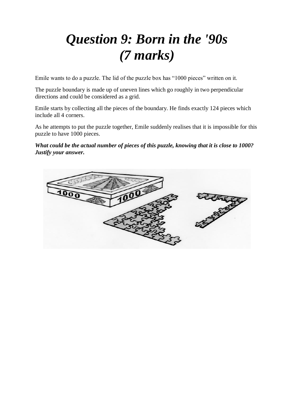## *Question 9: Born in the '90s (7 marks)*

Emile wants to do a puzzle. The lid of the puzzle box has "1000 pieces" written on it.

The puzzle boundary is made up of uneven lines which go roughly in two perpendicular directions and could be considered as a grid.

Emile starts by collecting all the pieces of the boundary. He finds exactly 124 pieces which include all 4 corners.

As he attempts to put the puzzle together, Emile suddenly realises that it is impossible for this puzzle to have 1000 pieces.

*What could be the actual number of pieces of this puzzle, knowing that it is close to 1000? Justify your answer.* 

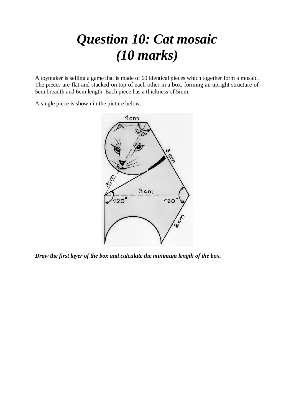### *Question 10: Cat mosaic (10 marks)*

A toymaker is selling a game that is made of 60 identical pieces which together form a mosaic. The pieces are flat and stacked on top of each other in a box, forming an upright structure of 5cm breadth and 6cm length. Each piece has a thickness of 5mm.

A single piece is shown in the picture below.



*Draw the first layer of the box and calculate the minimum length of the box.*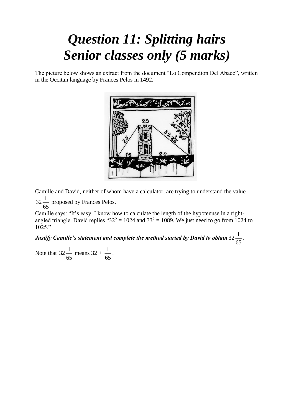#### *Question 11: Splitting hairs Senior classes only (5 marks)*

The picture below shows an extract from the document "Lo Compendion Del Abaco", written in the Occitan language by Frances Pelos in 1492.



Camille and David, neither of whom have a calculator, are trying to understand the value  $32 - \frac{1}{2}$  $\frac{1}{65}$  proposed by Frances Pelos.

Camille says: "It's easy. I know how to calculate the length of the hypotenuse in a rightangled triangle. David replies " $32^2 = 1024$  and  $33^2 = 1089$ . We just need to go from 1024 to 1025."

Justify Camille's statement and complete the method started by David to obtain 32  $\frac{1}{\sqrt{2}}$  $\frac{1}{65}$ .

Note that  $32\frac{1}{12}$  $\frac{1}{65}$  means 32 +  $\frac{1}{65}$  $\frac{1}{65}$ .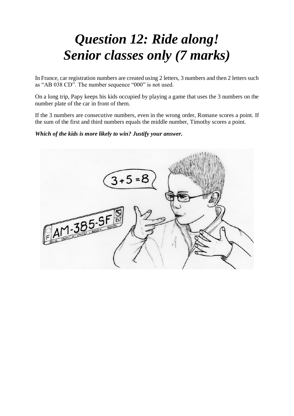### *Question 12: Ride along! Senior classes only (7 marks)*

In France, car registration numbers are created using 2 letters, 3 numbers and then 2 letters such as "AB 038 CD". The number sequence "000" is not used.

On a long trip, Papy keeps his kids occupied by playing a game that uses the 3 numbers on the number plate of the car in front of them.

If the 3 numbers are consecutive numbers, even in the wrong order, Romane scores a point. If the sum of the first and third numbers equals the middle number, Timothy scores a point.

*Which of the kids is more likely to win? Justify your answer.*

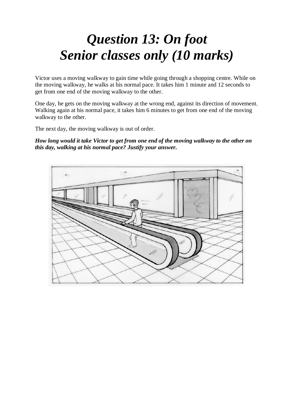#### *Question 13: On foot Senior classes only (10 marks)*

Victor uses a moving walkway to gain time while going through a shopping centre. While on the moving walkway, he walks at his normal pace. It takes him 1 minute and 12 seconds to get from one end of the moving walkway to the other.

One day, he gets on the moving walkway at the wrong end, against its direction of movement. Walking again at his normal pace, it takes him 6 minutes to get from one end of the moving walkway to the other.

The next day, the moving walkway is out of order.

*How long would it take Victor to get from one end of the moving walkway to the other on this day, walking at his normal pace? Justify your answer.*